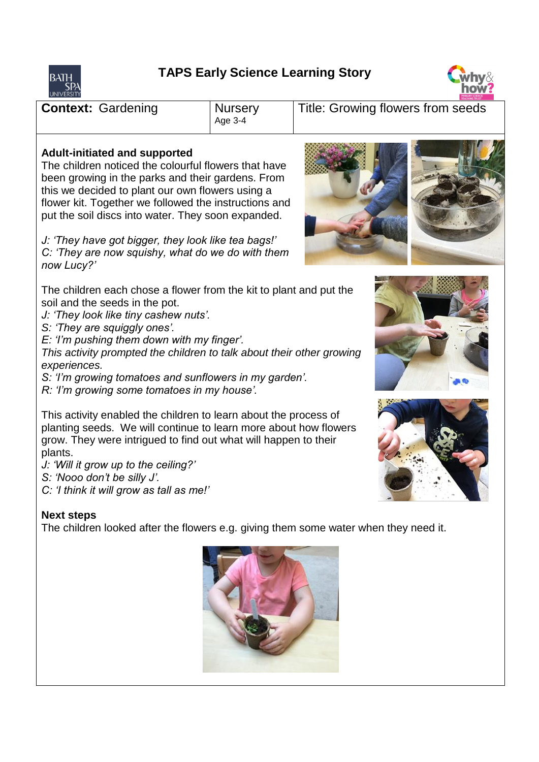## **TAPS Early Science Learning Story**





**Context:** Gardening | Nursery Age 3-4 Title: Growing flowers from seeds **Adult-initiated and supported** The children noticed the colourful flowers that have been growing in the parks and their gardens. From this we decided to plant our own flowers using a flower kit. Together we followed the instructions and put the soil discs into water. They soon expanded. *J: 'They have got bigger, they look like tea bags!' C: 'They are now squishy, what do we do with them now Lucy?'*  The children each chose a flower from the kit to plant and put the soil and the seeds in the pot. *J: 'They look like tiny cashew nuts'.*

*S: 'They are squiggly ones'.*

*E: 'I'm pushing them down with my finger'.*

*This activity prompted the children to talk about their other growing experiences.* 

*S: 'I'm growing tomatoes and sunflowers in my garden'.* 

*R: 'I'm growing some tomatoes in my house'.*

This activity enabled the children to learn about the process of planting seeds. We will continue to learn more about how flowers grow. They were intrigued to find out what will happen to their plants.

*J: 'Will it grow up to the ceiling?'* 

*S: 'Nooo don't be silly J'.*

*C: 'I think it will grow as tall as me!'*

## **Next steps**

The children looked after the flowers e.g. giving them some water when they need it.